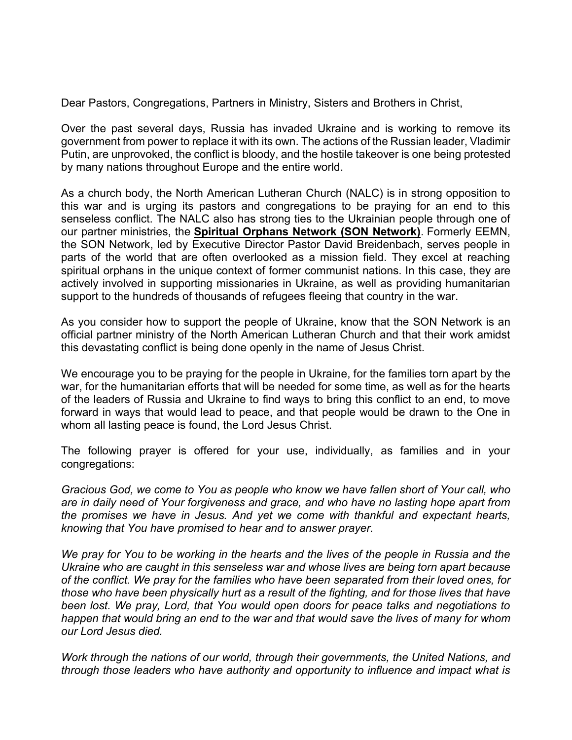Dear Pastors, Congregations, Partners in Ministry, Sisters and Brothers in Christ,

Over the past several days, Russia has invaded Ukraine and is working to remove its government from power to replace it with its own. The actions of the Russian leader, Vladimir Putin, are unprovoked, the conflict is bloody, and the hostile takeover is one being protested by many nations throughout Europe and the entire world.

As a church body, the North American Lutheran Church (NALC) is in strong opposition to this war and is urging its pastors and congregations to be praying for an end to this senseless conflict. The NALC also has strong ties to the Ukrainian people through one of our partner ministries, the **[Spiritual Orphans Network \(SON Network\)](https://r20.rs6.net/tn.jsp?f=001Aj20oIytsOf_Uvi6WsYJzTpCNdIr7lsum8tFhLbCaVrrtQ0Q5tGQWxWh1tJq9tLkprkZL-pK869Gq-jO1bsMwYs6ZSS3vP4sm9UIUXozwEqzl88yJQpTGSQNYiUjLs-NPdNMzruRA6BXknB9fPtSevWf2PZxLNM_vA1siaVR5svmufr_ZMCSbW8JlDPkPgw1&c=L1g0AeM4RkJx-O8jW8ha3hkgcojhaSSX-vNi1PlImvdp3G29fZOGZA==&ch=9kydI6jlmD8cgzy0Zn_8EzXVFl5je4BYPSwUcgnRNjgk6g6ltr4QFA==)**. Formerly EEMN, the SON Network, led by Executive Director Pastor David Breidenbach, serves people in parts of the world that are often overlooked as a mission field. They excel at reaching spiritual orphans in the unique context of former communist nations. In this case, they are actively involved in supporting missionaries in Ukraine, as well as providing humanitarian support to the hundreds of thousands of refugees fleeing that country in the war.

As you consider how to support the people of Ukraine, know that the SON Network is an official partner ministry of the North American Lutheran Church and that their work amidst this devastating conflict is being done openly in the name of Jesus Christ.

We encourage you to be praying for the people in Ukraine, for the families torn apart by the war, for the humanitarian efforts that will be needed for some time, as well as for the hearts of the leaders of Russia and Ukraine to find ways to bring this conflict to an end, to move forward in ways that would lead to peace, and that people would be drawn to the One in whom all lasting peace is found, the Lord Jesus Christ.

The following prayer is offered for your use, individually, as families and in your congregations:

*Gracious God, we come to You as people who know we have fallen short of Your call, who are in daily need of Your forgiveness and grace, and who have no lasting hope apart from the promises we have in Jesus. And yet we come with thankful and expectant hearts, knowing that You have promised to hear and to answer prayer.*

*We pray for You to be working in the hearts and the lives of the people in Russia and the Ukraine who are caught in this senseless war and whose lives are being torn apart because of the conflict. We pray for the families who have been separated from their loved ones, for those who have been physically hurt as a result of the fighting, and for those lives that have been lost. We pray, Lord, that You would open doors for peace talks and negotiations to happen that would bring an end to the war and that would save the lives of many for whom our Lord Jesus died.*

*Work through the nations of our world, through their governments, the United Nations, and through those leaders who have authority and opportunity to influence and impact what is*